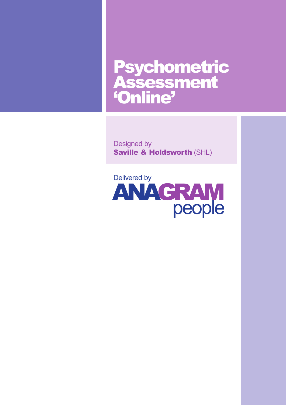# Psychometric Assessment 'Online'

Designed by Saville & Holdsworth (SHL)

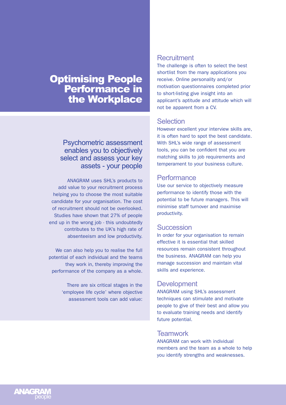# **Optimising People** Performance in the Workplace

# Psychometric assessment enables you to objectively select and assess your key assets - your people

ANAGRAM uses SHL's products to add value to your recruitment process helping you to choose the most suitable candidate for your organisation. The cost of recruitment should not be overlooked. Studies have shown that 27% of people end up in the wrong job - this undoubtedly contributes to the UK's high rate of absenteeism and low productivity.

We can also help you to realise the full potential of each individual and the teams they work in, thereby improving the performance of the company as a whole.

> There are six critical stages in the 'employee life cycle' where objective assessment tools can add value:

#### **Recruitment**

The challenge is often to select the best shortlist from the many applications you receive. Online personality and/or motivation questionnaires completed prior to short-listing give insight into an applicant's aptitude and attitude which will not be apparent from a CV.

# **Selection**

However excellent your interview skills are, it is often hard to spot the best candidate. With SHL's wide range of assessment tools, you can be confident that you are matching skills to job requirements and temperament to your business culture.

# **Performance**

Use our service to objectively measure performance to identify those with the potential to be future managers. This will minimise staff turnover and maximise productivity.

# **Succession**

In order for your organisation to remain effective it is essential that skilled resources remain consistent throughout the business. ANAGRAM can help you manage succession and maintain vital skills and experience.

# **Development**

ANAGRAM using SHL's assessment techniques can stimulate and motivate people to give of their best and allow you to evaluate training needs and identify future potential.

# **Teamwork**

ANAGRAM can work with individual members and the team as a whole to help you identify strengths and weaknesses.

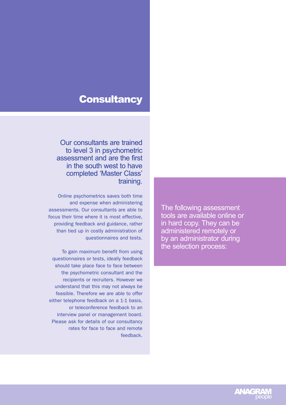# **Consultancy**

Our consultants are trained to level 3 in psychometric assessment and are the first in the south west to have completed 'Master Class' training.

Online psychometrics saves both time and expense when administering assessments. Our consultants are able to focus their time where it is most effective, providing feedback and guidance, rather than tied up in costly administration of questionnaires and tests.

To gain maximum benefit from using questionnaires or tests, ideally feedback should take place face to face between the psychometric consultant and the recipients or recruiters. However we understand that this may not always be feasible. Therefore we are able to offer either telephone feedback on a 1-1 basis, or teleconference feedback to an interview panel or management board. Please ask for details of our consultancy rates for face to face and remote feedback. The following assessment tools are available online or in hard copy. They can be administered remotely or by an administrator during the selection process:

**ANAGR**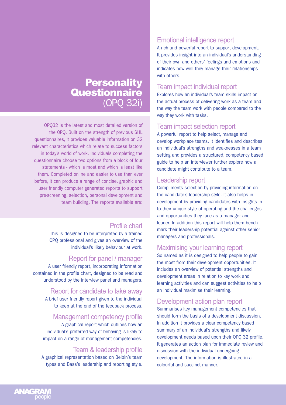# **Personality Questionnaire** (OPQ 32i)

OPQ32 is the latest and most detailed version of the OPQ. Built on the strength of previous SHL questionnaires, it provides valuable information on 32 relevant characteristics which relate to success factors in today's world of work. Individuals completing the questionnaire choose two options from a block of four statements - which is most and which is least like them. Completed online and easier to use than ever before, it can produce a range of concise, graphic and user friendly computer generated reports to support pre-screening, selection, personal development and team building. The reports available are:

# Profile chart

This is designed to be interpreted by a trained OPQ professional and gives an overview of the individual's likely behaviour at work.

# Report for panel / manager

A user friendly report, incorporating information contained in the profile chart, designed to be read and understood by the interview panel and managers.

#### Report for candidate to take away

A brief user friendly report given to the individual to keep at the end of the feedback process.

#### Management competency profile

A graphical report which outlines how an individual's preferred way of behaving is likely to impact on a range of management competencies.

# Team & leadership profile

A graphical representation based on Belbin's team types and Bass's leadership and reporting style.

# Emotional intelligence report

A rich and powerful report to support development. It provides insight into an individual's understanding of their own and others' feelings and emotions and indicates how well they manage their relationships with others.

### Team impact individual report

Explores how an individual's team skills impact on the actual process of delivering work as a team and the way the team work with people compared to the way they work with tasks.

#### Team impact selection report

A powerful report to help select, manage and develop workplace teams. It identifies and describes an individual's strengths and weaknesses in a team setting and provides a structured, competency based guide to help an interviewer further explore how a candidate might contribute to a team.

#### Leadership report

Compliments selection by providing information on the candidate's leadership style. It also helps in development by providing candidates with insights in to their unique style of operating and the challenges and opportunities they face as a manager and leader. In addition this report will help them bench mark their leadership potential against other senior managers and professionals.

#### Maximising your learning report

So named as it is designed to help people to gain the most from their development opportunities. It includes an overview of potential strengths and development areas in relation to key work and learning activities and can suggest activities to help an individual maximise their learning.

# Development action plan report

Summarises key management competencies that should form the basis of a development discussion. In addition it provides a clear competency based summary of an individual's strengths and likely development needs based upon their OPQ 32 profile. It generates an action plan for immediate review and discussion with the individual undergoing development. The information is illustrated in a colourful and succinct manner.

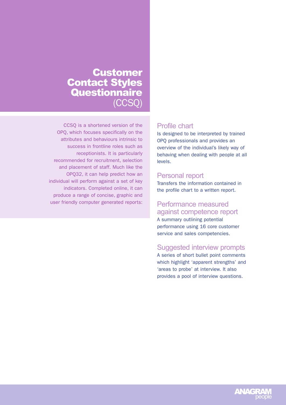# Customer Contact Styles **Questionnaire** (CCSQ)

CCSQ is a shortened version of the OPQ, which focuses specifically on the attributes and behaviours intrinsic to success in frontline roles such as receptionists. It is particularly recommended for recruitment, selection and placement of staff. Much like the OPQ32, it can help predict how an individual will perform against a set of key indicators. Completed online, it can produce a range of concise, graphic and user friendly computer generated reports:

# Profile chart

Is designed to be interpreted by trained OPQ professionals and provides an overview of the individual's likely way of behaving when dealing with people at all levels.

### Personal report

Transfers the information contained in the profile chart to a written report.

# Performance measured against competence report

A summary outlining potential performance using 16 core customer service and sales competencies.

# Suggested interview prompts

A series of short bullet point comments which highlight 'apparent strengths' and 'areas to probe' at interview. It also provides a pool of interview questions.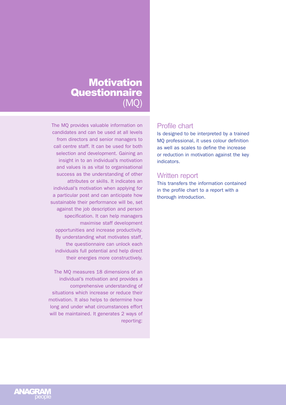# **Motivation Questionnaire** (MQ)

The MQ provides valuable information on candidates and can be used at all levels from directors and senior managers to call centre staff. It can be used for both selection and development. Gaining an insight in to an individual's motivation and values is as vital to organisational success as the understanding of other attributes or skills. It indicates an individual's motivation when applying for a particular post and can anticipate how sustainable their performance will be, set against the job description and person specification. It can help managers maximise staff development opportunities and increase productivity. By understanding what motivates staff, the questionnaire can unlock each individuals full potential and help direct their energies more constructively.

The MQ measures 18 dimensions of an individual's motivation and provides a comprehensive understanding of situations which increase or reduce their motivation. It also helps to determine how long and under what circumstances effort will be maintained. It generates 2 ways of reporting:

# Profile chart

Is designed to be interpreted by a trained MQ professional, it uses colour definition as well as scales to define the increase or reduction in motivation against the key indicators.

# Written report

This transfers the information contained in the profile chart to a report with a thorough introduction.

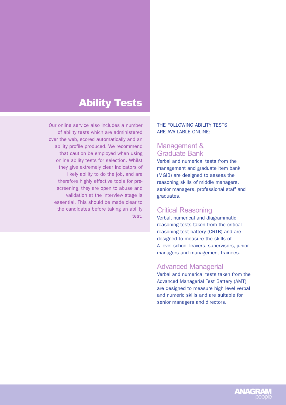# Ability Tests

Our online service also includes a number of ability tests which are administered over the web, scored automatically and an ability profile produced. We recommend that caution be employed when using online ability tests for selection. Whilst they give extremely clear indicators of likely ability to do the job, and are therefore highly effective tools for prescreening, they are open to abuse and validation at the interview stage is essential. This should be made clear to the candidates before taking an ability test.

#### THE FOLLOWING ABILITY TESTS ARE AVAILABLE ONLINE:

# Management & Graduate Bank

Verbal and numerical tests from the management and graduate item bank (MGIB) are designed to assess the reasoning skills of middle managers, senior managers, professional staff and graduates.

# Critical Reasoning

Verbal, numerical and diagrammatic reasoning tests taken from the critical reasoning test battery (CRTB) and are designed to measure the skills of A level school leavers, supervisors, junior managers and management trainees.

# Advanced Managerial

Verbal and numerical tests taken from the Advanced Managerial Test Battery (AMT) are designed to measure high level verbal and numeric skills and are suitable for senior managers and directors.